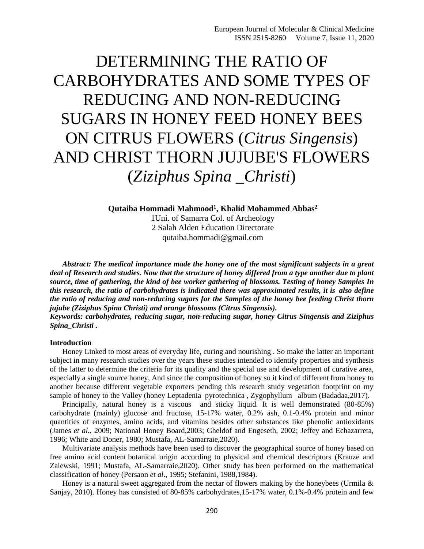# DETERMINING THE RATIO OF CARBOHYDRATES AND SOME TYPES OF REDUCING AND NON-REDUCING SUGARS IN HONEY FEED HONEY BEES ON CITRUS FLOWERS (*Citrus Singensis*) AND CHRIST THORN JUJUBE'S FLOWERS (*Ziziphus Spina \_Christi*)

**Qutaiba Hommadi Mahmood<sup>1</sup> , Khalid Mohammed Abbas<sup>2</sup>**

1Uni. of Samarra Col. of Archeology 2 Salah Alden Education Directorate qutaiba.hommadi@gmail.com

*Abstract: The medical importance made the honey one of the most significant subjects in a great deal of Research and studies. Now that the structure of honey differed from a type another due to plant source, time of gathering, the kind of bee worker gathering of blossoms. Testing of honey Samples In this research, the ratio of carbohydrates is indicated there was approximated results, it is**also define the ratio of reducing and non-reducing sugars for the Samples of the honey bee feeding Christ thorn jujube (Ziziphus Spina Christi) and orange blossoms (Citrus Singensis).*

*Keywords: carbohydrates, reducing sugar, non-reducing sugar, honey Citrus Singensis and Ziziphus Spina\_Christi .*

### **Introduction**

Honey Linked to most areas of everyday life, curing and nourishing . So make the latter an important subject in many research studies over the years these studies intended to identify properties and synthesis of the latter to determine the criteria for its quality and the special use and development of curative area, especially a single source honey, And since the composition of honey so it kind of different from honey to another because different vegetable exporters pending this research study vegetation footprint on my sample of honey to the Valley (honey Leptadenia pyrotechnica, Zygophyllum \_album (Badadaa, 2017).

Principally, natural honey is a viscous and sticky liquid. It is well demonstrated (80-85%) carbohydrate (mainly) glucose and fructose, 15-17% water, 0.2% ash, 0.1-0.4% protein and minor quantities of enzymes, amino acids, and vitamins besides other substances like phenolic antioxidants (James *et al.,* 2009; National Honey Board,2003; Gheldof and Engeseth, 2002; Jeffey and Echazarreta, 1996; White and Doner, 1980; Mustafa, AL-Samarraie,2020).

Multivariate analysis methods have been used to discover the geographical source of honey based on free amino acid content botanical origin according to physical and chemical descriptors (Krauze and Zalewski, 1991; Mustafa, AL-Samarraie,2020). Other study has been performed on the mathematical classification of honey (Persaon *et al*., 1995; Stefanini, 1988,1984).

Honey is a natural sweet aggregated from the nectar of flowers making by the honeybees (Urmila & Sanjay, 2010). Honey has consisted of 80-85% carbohydrates,15-17% water, 0.1%-0.4% protein and few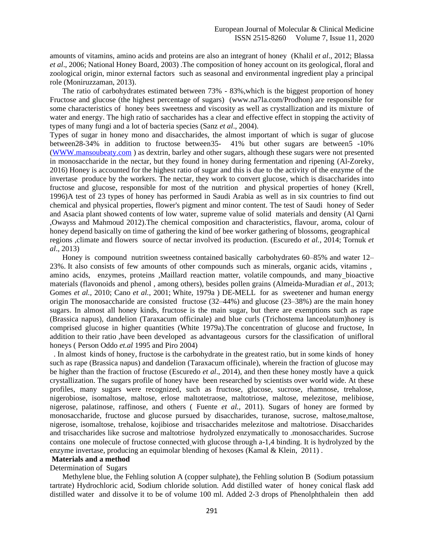amounts of vitamins, amino acids and proteins are also an integrant of honey (Khalil *et al*., 2012; Blassa *et al*., 2006; National Honey Board, 2003) .The composition of honey account on its geological, floral and zoological origin, minor external factors such as seasonal and environmental ingredient play a principal role (Moniruzzaman, 2013).

The ratio of carbohydrates estimated between 73% - 83%, which is the biggest proportion of honey Fructose and glucose (the highest percentage of sugars) (www.na7la.com/Prodhon) are responsible for some characteristics of honey bees sweetness and viscosity as well as crystallization and its mixture of water and energy. The high ratio of saccharides has a clear and effective effect in stopping the activity of types of many fungi and a lot of bacteria species (Sanz *et al*., 2004).

Types of sugar in honey mono and disaccharides, the almost important of which is sugar of glucose between28-34% in addition to fructose between35- 41% but other sugars are between5 -10% [\(WWW.mansoubeaty.com](http://www.mansoubeaty.com/) ) as dextrin, barley and other sugars, although these sugars were not presented in monosaccharide in the nectar, but they found in honey during fermentation and ripening (Al-Zoreky, 2016) Honey is accounted for the highest ratio of sugar and this is due to the activity of the enzyme of the invertase produce by the workers. The nectar, they work to convert glucose, which is disaccharides into fructose and glucose, responsible for most of the nutrition and physical properties of honey (Krell, 1996)A test of 23 types of honey has performed in Saudi Arabia as well as in six countries to find out chemical and physical properties, flower's pigment and minor content. The test of Saudi honey of Seder and Asacia plant showed contents of low water, supreme value of solid materials and density (Al Qarni ,Owayss and Mahmoud 2012).The chemical composition and characteristics, flavour, aroma, colour of honey depend basically on time of gathering the kind of bee worker gathering of blossoms, geographical regions ,climate and flowers source of nectar involved its production. (Escuredo *et al.*, 2014; Tornuk *et al*., 2013)

Honey is compound nutrition sweetness contained basically carbohydrates 60–85% and water 12– 23%. It also consists of few amounts of other compounds such as minerals, organic acids, vitamins , amino acids, enzymes, proteins ,Maillard reaction matter, volatile compounds, and many bioactive materials (flavonoids and phenol , among others), besides pollen grains (Almeida-Muradian *et al*., 2013; Gomes *et al.,* 2010; Cano *et al.,* 2001; White, 1979a ) DE-MELL for as sweetener and human energy origin The monosaccharide are consisted fructose (32–44%) and glucose (23–38%) are the main honey sugars. In almost all honey kinds, fructose is the main sugar, but there are exemptions such as rape (Brassica napus), dandelion (Taraxacum officinale) and blue curls (Trichostema lanceolatum)honey is comprised glucose in higher quantities (White 1979a).The concentration of glucose and fructose, In addition to their ratio ,have been developed as advantageous cursors for the classification of unifloral honeys ( Person Oddo *et.al* 1995 and Piro 2004)

. In almost kinds of honey, fructose is the carbohydrate in the greatest ratio, but in some kinds of honey such as rape (Brassica napus) and dandelion (Taraxacum officinale), wherein the fraction of glucose may be higher than the fraction of fructose (Escuredo *et al*., 2014), and then these honey mostly have a quick crystallization. The sugars profile of honey have been researched by scientists over world wide. At these profiles, many sugars were recognized, such as fructose, glucose, sucrose, rhamnose, trehalose, nigerobiose, isomaltose, maltose, erlose maltotetraose, maltotriose, maltose, melezitose, melibiose, nigerose, palatinose, raffinose, and others ( Fuente *et al.,* 2011). Sugars of honey are formed by monosaccharide, fructose and glucose pursued by disaccharides, turanose, sucrose, maltose,maltose, nigerose, isomaltose, trehalose, kojibiose and trisaccharides melezitose and maltotriose. Disaccharides and trisaccharides like sucrose and maltotriose hydrolyzed enzymatically to .monosaccharides. Sucrose contains one molecule of fructose connected with glucose through a-1,4 binding. It is hydrolyzed by the enzyme invertase, producing an equimolar blending of hexoses (Kamal & Klein, 2011) .

# **Materials and a method**

Determination of Sugars

Methylene blue, the Fehling solution A (copper sulphate), the Fehling solution B (Sodium potassium tartrate) Hydrochloric acid, Sodium chloride solution. Add distilled water of honey conical flask add distilled water and dissolve it to be of volume 100 ml. Added 2-3 drops of Phenolphthalein then add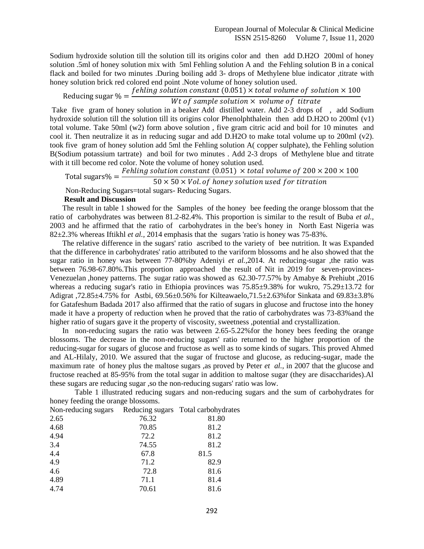Sodium hydroxide solution till the solution till its origins color and then add D.H2O 200ml of honey solution .5ml of honey solution mix with 5ml Fehling solution A and the Fehling solution B in a conical flack and boiled for two minutes .During boiling add 3- drops of Methylene blue indicator ,titrate with honey solution brick red colored end point .Note volume of honey solution used.

Reducing sugar  $% =$ f ehling solution constant (0.051)  $\times$  total volume of solution  $\times$  100

## Wt of sample solution  $\times$  volume of titrate

Take five gram of honey solution in a beaker Add distilled water. Add 2-3 drops of , add Sodium hydroxide solution till the solution till its origins color Phenolphthalein then add D.H2O to 200ml (v1) total volume. Take 50ml (w2) form above solution , five gram citric acid and boil for 10 minutes and cool it. Then neutralize it as in reducing sugar and add D.H2O to make total volume up to 200ml (v2). took five gram of honey solution add 5ml the Fehling solution A( copper sulphate), the Fehling solution B(Sodium potassium tartrate) and boil for two minutes . Add 2-3 drops of Methylene blue and titrate with it till become red color. Note the volume of honey solution used.

Total sugars $% =$ Fehling solution constant (0.051)  $\times$  total volume of 200  $\times$  200  $\times$  100

 $50 \times 50 \times$  Vol. of honey solution used for titration

Non-Reducing Sugars=total sugars- Reducing Sugars.

#### **Result and Discussion**

The result in table 1 showed for the Samples of the honey bee feeding the orange blossom that the ratio of carbohydrates was between 81.2-82.4%. This proportion is similar to the result of Buba *et al.,* 2003 and he affirmed that the ratio of carbohydrates in the bee's honey in North East Nigeria was 82±2.3% whereas Iftikhl *et al.,* 2014 emphasis that the sugars 'ratio is honey was 75-83%.

The relative difference in the sugars' ratio ascribed to the variety of bee nutrition. It was Expanded that the difference in carbohydrates' ratio attributed to the variform blossoms and he also showed that the sugar ratio in honey was between 77-80%by Adeniyi *et al.,*2014. At reducing-sugar ,the ratio was between 76.98-67.80%.This proportion approached the result of Nit in 2019 for seven-provinces-Venezuelan ,honey patterns. The sugar ratio was showed as 62.30-77.57% by Amabye & Prehiubt ,2016 whereas a reducing sugar's ratio in Ethiopia provinces was  $75.85\pm9.38\%$  for wukro,  $75.29\pm13.72$  for Adigrat ,72.85±4.75% for Astbi, 69.56±0.56% for Kilteawaelo,71.5±2.63%for Sinkata and 69.83±3.8% for Gatafeshum Badada 2017 also affirmed that the ratio of sugars in glucose and fructose into the honey made it have a property of reduction when he proved that the ratio of carbohydrates was 73-83%and the higher ratio of sugars gave it the property of viscosity, sweetness ,potential and crystallization.

In non-reducing sugars the ratio was between 2.65-5.22%for the honey bees feeding the orange blossoms. The decrease in the non-reducing sugars' ratio returned to the higher proportion of the reducing-sugar for sugars of glucose and fructose as well as to some kinds of sugars. This proved Ahmed and AL-Hilaly, 2010. We assured that the sugar of fructose and glucose, as reducing-sugar, made the maximum rate of honey plus the maltose sugars ,as proved by Peter *et al.,* in 2007 that the glucose and fructose reached at 85-95% from the total sugar in addition to maltose sugar (they are disaccharides).Al these sugars are reducing sugar ,so the non-reducing sugars' ratio was low.

Table 1 illustrated reducing sugars and non-reducing sugars and the sum of carbohydrates for honey feeding the orange blossoms.

|       | Reducing sugars Total carbohydrates |
|-------|-------------------------------------|
| 76.32 | 81.80                               |
| 70.85 | 81.2                                |
| 72.2  | 81.2                                |
| 74.55 | 81.2                                |
| 67.8  | 81.5                                |
| 71.2  | 82.9                                |
| 72.8  | 81.6                                |
| 71.1  | 81.4                                |
| 70.61 | 81.6                                |
|       |                                     |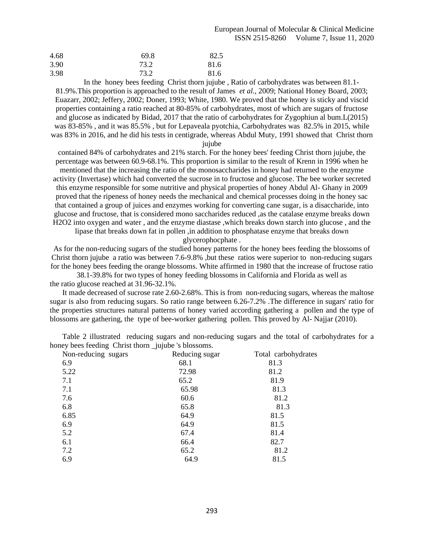| 4.68 | 69.8 | 82.5 |
|------|------|------|
| 3.90 | 73.2 | 81.6 |
| 3.98 | 73.2 | 81.6 |

 In the honey bees feeding Christ thorn jujube , Ratio of carbohydrates was between 81.1- 81.9%.This proportion is approached to the result of James *et al.,* 2009; National Honey Board, 2003; Euazarr, 2002; Jeffery, 2002; Doner, 1993; White, 1980. We proved that the honey is sticky and viscid properties containing a ratio reached at 80-85% of carbohydrates, most of which are sugars of fructose and glucose as indicated by Bidad, 2017 that the ratio of carbohydrates for Zygophiun al bum.L(2015) was 83-85% , and it was 85.5% , but for Lepaveala pyotchia, Carbohydrates was 82.5% in 2015, while was 83% in 2016, and he did his tests in centigrade, whereas Abdul Muty, 1991 showed that Christ thorn

jujube

contained 84% of carbohydrates and 21% starch. For the honey bees' feeding Christ thorn jujube, the percentage was between 60.9-68.1%. This proportion is similar to the result of Krenn in 1996 when he mentioned that the increasing the ratio of the monosaccharides in honey had returned to the enzyme activity (Invertase) which had converted the sucrose in to fructose and glucose. The bee worker secreted this enzyme responsible for some nutritive and physical properties of honey Abdul Al- Ghany in 2009 proved that the ripeness of honey needs the mechanical and chemical processes doing in the honey sac that contained a group of juices and enzymes working for converting cane sugar, is a disaccharide, into glucose and fructose, that is considered mono saccharides reduced ,as the catalase enzyme breaks down H2O2 into oxygen and water , and the enzyme diastase ,which breaks down starch into glucose , and the

lipase that breaks down fat in pollen ,in addition to phosphatase enzyme that breaks down

glycerophocphate .

As for the non-reducing sugars of the studied honey patterns for the honey bees feeding the blossoms of Christ thorn jujube a ratio was between 7.6-9.8% ,but these ratios were superior to non-reducing sugars for the honey bees feeding the orange blossoms. White affirmed in 1980 that the increase of fructose ratio

38.1-39.8% for two types of honey feeding blossoms in California and Florida as well as the ratio glucose reached at 31.96-32.1%.

It made decreased of sucrose rate 2.60-2.68%. This is from non-reducing sugars, whereas the maltose sugar is also from reducing sugars. So ratio range between 6.26-7.2% .The difference in sugars' ratio for the properties structures natural patterns of honey varied according gathering a pollen and the type of blossoms are gathering, the type of bee-worker gathering pollen. This proved by Al- Najjar (2010).

Table 2 illustrated reducing sugars and non-reducing sugars and the total of carbohydrates for a honey bees feeding Christ thorn jujube 's blossoms.

| Non-reducing sugars | Reducing sugar | Total carbohydrates |
|---------------------|----------------|---------------------|
| 6.9                 | 68.1           | 81.3                |
| 5.22                | 72.98          | 81.2                |
| 7.1                 | 65.2           | 81.9                |
| 7.1                 | 65.98          | 81.3                |
| 7.6                 | 60.6           | 81.2                |
| 6.8                 | 65.8           | 81.3                |
| 6.85                | 64.9           | 81.5                |
| 6.9                 | 64.9           | 81.5                |
| 5.2                 | 67.4           | 81.4                |
| 6.1                 | 66.4           | 82.7                |
| 7.2                 | 65.2           | 81.2                |
| 6.9                 | 64.9           | 81.5                |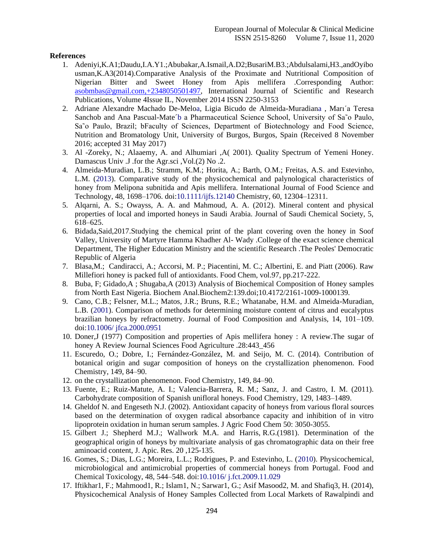#### **References**

- 1. Adeniyi,K.A1;Daudu,I.A.Y1.;Abubakar,A.Ismail,A.D2;BusariM.B3.;Abdulsalami,H3.,andOyibo usman,K.A3(2014).Comparative Analysis of the Proximate and Nutritional Composition of Nigerian Bitter and Sweet Honey from Apis mellifera .Corresponding Author: [asobmbas@gmail.com,+2348050501497,](mailto:asobmbas@gmail.com,+2348050501497) International Journal of Scientific and Research Publications, Volume 4Issue IL, November 2014 ISSN 2250-3153
- 2. Adriane Alexandre Machado De-Meloa, Ligia Bicudo de Almeida-Muradiana , Marı´a Teresa Sanchob and Ana Pascual-Mate<sup>+</sup>b a Pharmaceutical Science School, University of Sa<sup>®</sup>o Paulo, Sa<sup>o</sup> Paulo, Brazil; bFaculty of Sciences, Department of Biotechnology and Food Science, Nutrition and Bromatology Unit, University of Burgos, Burgos, Spain (Received 8 November 2016; accepted 31 May 2017)
- 3. Al -Zoreky, N.; Alaaemy, A. and Alhumiari ,A( 2001). Quality Spectrum of Yemeni Honey. Damascus Univ .J .for the Agr.sci ,Vol.(2) No .2.
- 4. Almeida-Muradian, L.B.; Stramm, K.M.; Horita, A.; Barth, O.M.; Freitas, A.S. and Estevinho, L.M. (2013). Comparative study of the physicochemical and palynological characteristics of honey from Melipona subnitida and Apis mellifera. International Journal of Food Science and Technology, 48, 1698–1706. doi:10.1111/ijfs.12140 Chemistry, 60, 12304–12311.
- 5. Alqarni, A. S.; Owayss, A. A. and Mahmoud, A. A. (2012). Mineral content and physical properties of local and imported honeys in Saudi Arabia. Journal of Saudi Chemical Society, 5, 618–625.
- 6. Bidada,Said,2017.Studying the chemical print of the plant covering oven the honey in Soof Valley, University of Martyre Hamma Khadher Al- Wady .College of the exact science chemical Department, The Higher Education Ministry and the scientific Research .The Peoles' Democratic Republic of Algeria
- 7. Blasa,M.; Candiracci, A.; Accorsi, M. P.; Piacentini, M. C.; Albertini, E. and Piatt (2006). Raw Millefiori honey is packed full of antioxidants. Food Chem, vol.97, pp.217-222.
- 8. Buba, F; Gidado,A ; Shugaba,A (2013) Analysis of Biochemical Composition of Honey samples from North East Nigeria. Biochem Anal.Biochem2:139.doi;10.4172/2161-1009-1000139.
- 9. Cano, C.B.; Felsner, M.L.; Matos, J.R.; Bruns, R.E.; Whatanabe, H.M. and Almeida-Muradian, L.B. (2001). Comparison of methods for determining moisture content of citrus and eucalyptus brazilian honeys by refractometry. Journal of Food Composition and Analysis, 14, 101–109. doi:10.1006/ jfca.2000.0951
- 10. Doner,J (1977) Composition and properties of Apis mellifera honey : A review.The sugar of honey A Review Journal Sciences Food Agriculture .28:443 456
- 11. Escuredo, O.; Dobre, I.; Fernández-González, M. and Seijo, M. C. (2014). Contribution of botanical origin and sugar composition of honeys on the crystallization phenomenon. Food Chemistry, 149, 84–90.
- 12. on the crystallization phenomenon. Food Chemistry, 149, 84–90.
- 13. Fuente, E.; Ruiz-Matute, A. I.; Valencia-Barrera, R. M.; Sanz, J. and Castro, I. M. (2011). Carbohydrate composition of Spanish unifloral honeys. Food Chemistry, 129, 1483–1489.
- 14. Gheldof N. and Engeseth N.J. (2002). Antioxidant capacity of honeys from various floral sources based on the determination of oxygen radical absorbance capacity and inhibition of in vitro lipoprotein oxidation in human serum samples. J Agric Food Chem 50: 3050-3055.
- 15. Gilbert J.; Shepherd M.J.; Wallwork M.A. and Harris, R.G.(1981). Determination of the geographical origin of honeys by multivariate analysis of gas chromatographic data on their free aminoacid content, J. Apic. Res. 20 ,125-135.
- 16. Gomes, S.; Dias, L.G.; Moreira, L.L.; Rodrigues, P. and Estevinho, L. (2010). Physicochemical, microbiological and antimicrobial properties of commercial honeys from Portugal. Food and Chemical Toxicology, 48, 544–548. doi:10.1016/ j.fct.2009.11.029
- 17. Iftikhar1, F.; Mahmood1, R.; Islam1, N.; Sarwar1, G.; Asif Masood2, M. and Shafiq3, H. (2014), Physicochemical Analysis of Honey Samples Collected from Local Markets of Rawalpindi and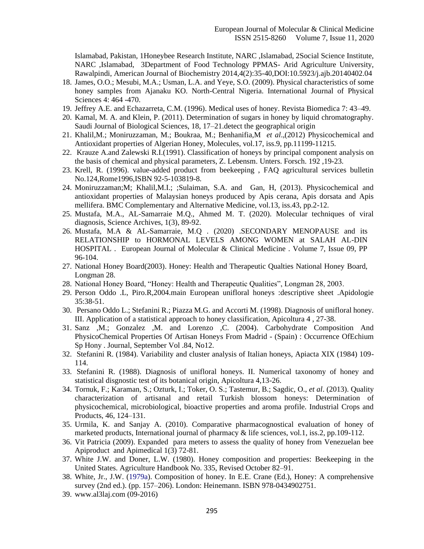Islamabad, Pakistan, 1Honeybee Research Institute, NARC ,Islamabad, 2Social Science Institute, NARC ,Islamabad, 3Department of Food Technology PPMAS- Arid Agriculture University, Rawalpindi, American Journal of Biochemistry 2014,4(2):35-40,DOI:10.5923/j.ajb.20140402.04

- 18. James, O.O.; Mesubi, M.A.; Usman, L.A. and Yeye, S.O. (2009). Physical characteristics of some honey samples from Ajanaku KO. North-Central Nigeria. International Journal of Physical Sciences 4: 464 -470.
- 19. Jeffrey A.E. and Echazarreta, C.M. (1996). Medical uses of honey. Revista Biomedica 7: 43–49.
- 20. Kamal, M. A. and Klein, P. (2011). Determination of sugars in honey by liquid chromatography. Saudi Journal of Biological Sciences, 18, 17–21.detect the geographical origin
- 21. Khalil,M.; Moniruzzaman, M.; Boukraa, M.; Benhanifia,M *et al*.,(2012) Physicochemical and Antioxidant properties of Algerian Honey, Molecules, vol.17, iss.9, pp.11199-11215.
- 22. Krauze A.and Zalewski R.I.(1991). Classification of honeys by principal component analysis on the basis of chemical and physical parameters, Z. Lebensm. Unters. Forsch. 192 ,19-23.
- 23. Krell, R. (1996). value-added product from beekeeping , FAQ agricultural services bulletin No.124,Rome1996,ISBN 92-5-103819-8.
- 24. Moniruzzaman;M; Khalil,M.I.; ;Sulaiman, S.A. and Gan, H, (2013). Physicochemical and antioxidant properties of Malaysian honeys produced by Apis cerana, Apis dorsata and Apis mellifera. BMC Complementary and Alternative Medicine, vol.13, iss.43, pp.2-12.
- 25. Mustafa, M.A., AL-Samarraie M.Q., Ahmed M. T. (2020). Molecular techniques of viral diagnosis, Science Archives, 1(3), 89-92.
- 26. Mustafa, M.A & AL-Samarraie, M.Q . (2020) .SECONDARY MENOPAUSE and its RELATIONSHIP to HORMONAL LEVELS AMONG WOMEN at SALAH AL-DIN HOSPITAL . European Journal of Molecular & Clinical Medicine . Volume 7, Issue 09, PP 96-104.
- 27. National Honey Board(2003). Honey: Health and Therapeutic Qualties National Honey Board, Longman 28.
- 28. National Honey Board, "Honey: Health and Therapeutic Qualities", Longman 28, 2003.
- 29. Person Oddo .L, Piro.R,2004.main European unifloral honeys :descriptive sheet .Apidologie 35:38-51.
- 30. Persano Oddo L.; Stefanini R.; Piazza M.G. and Accorti M. (1998). Diagnosis of unifloral honey. III. Application of a statistical approach to honey classification, Apicoltura 4 , 27-38.
- 31. Sanz ,M.; Gonzalez ,M. and Lorenzo ,C. (2004). Carbohydrate Composition And PhysicoChemical Properties Of Artisan Honeys From Madrid - (Spain) : Occurrence OfEchium Sp Hony . Journal, September Vol .84, No12.
- 32. Stefanini R. (1984). Variability and cluster analysis of Italian honeys, Apiacta XIX (1984) 109- 114.
- 33. Stefanini R. (1988). Diagnosis of unifloral honeys. II. Numerical taxonomy of honey and statistical disgnostic test of its botanical origin, Apicoltura 4,13-26.
- 34. Tornuk, F.; Karaman, S.; Ozturk, I.; Toker, O. S.; Tastemur, B.; Sagdic, O., *et al*. (2013). Quality characterization of artisanal and retail Turkish blossom honeys: Determination of physicochemical, microbiological, bioactive properties and aroma profile. Industrial Crops and Products, 46, 124–131.
- 35. Urmila, K. and Sanjay A. (2010). Comparative pharmacognostical evaluation of honey of marketed products, International journal of pharmacy  $\&$  life sciences, vol.1, iss.2, pp.109-112.
- 36. Vit Patricia (2009). Expanded para meters to assess the quality of honey from Venezuelan bee Apiproduct and Apimedical 1(3) 72-81.
- 37. White J.W. and Doner, L.W. (1980). Honey composition and properties: Beekeeping in the United States. Agriculture Handbook No. 335, Revised October 82–91.
- 38. White, Jr., J.W. (1979a). Composition of honey. In E.E. Crane (Ed.), Honey: A comprehensive survey (2nd ed.). (pp. 157–206). London: Heinemann. ISBN 978-0434902751.
- 39. www.al3laj.com (09-2016)